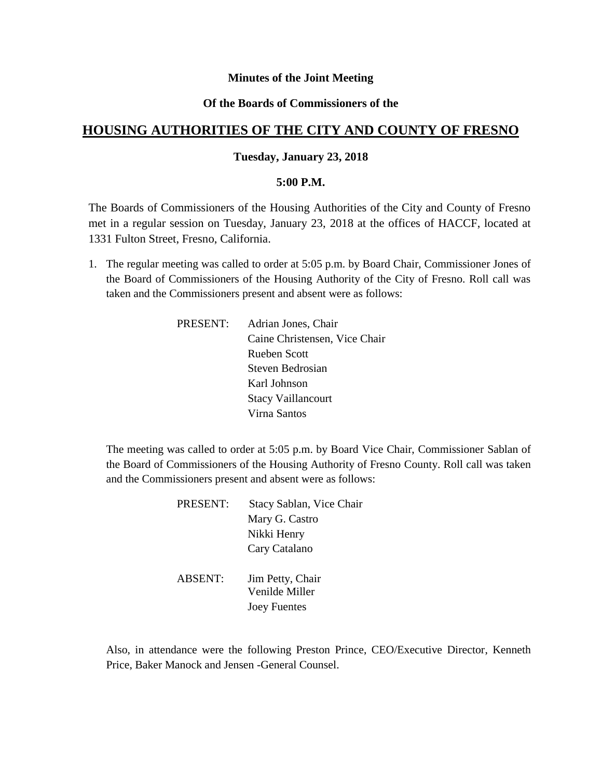# **Minutes of the Joint Meeting**

# **Of the Boards of Commissioners of the**

# **HOUSING AUTHORITIES OF THE CITY AND COUNTY OF FRESNO**

### **Tuesday, January 23, 2018**

#### **5:00 P.M.**

The Boards of Commissioners of the Housing Authorities of the City and County of Fresno met in a regular session on Tuesday, January 23, 2018 at the offices of HACCF, located at 1331 Fulton Street, Fresno, California.

- 1. The regular meeting was called to order at 5:05 p.m. by Board Chair, Commissioner Jones of the Board of Commissioners of the Housing Authority of the City of Fresno. Roll call was taken and the Commissioners present and absent were as follows:
	- PRESENT: Adrian Jones, Chair Caine Christensen, Vice Chair Rueben Scott Steven Bedrosian Karl Johnson Stacy Vaillancourt Virna Santos

The meeting was called to order at 5:05 p.m. by Board Vice Chair, Commissioner Sablan of the Board of Commissioners of the Housing Authority of Fresno County. Roll call was taken and the Commissioners present and absent were as follows:

| <b>PRESENT:</b> | Stacy Sablan, Vice Chair |
|-----------------|--------------------------|
|                 | Mary G. Castro           |
|                 | Nikki Henry              |
|                 | Cary Catalano            |
| <b>ABSENT:</b>  | Jim Petty, Chair         |
|                 | Venilde Miller           |
|                 | <b>Joey Fuentes</b>      |

Also, in attendance were the following Preston Prince, CEO/Executive Director, Kenneth Price, Baker Manock and Jensen -General Counsel.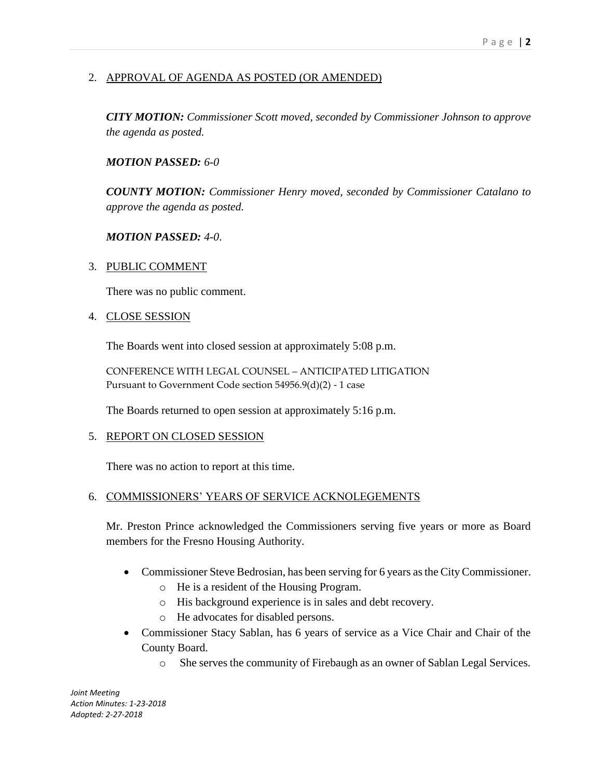# 2. APPROVAL OF AGENDA AS POSTED (OR AMENDED)

*CITY MOTION: Commissioner Scott moved, seconded by Commissioner Johnson to approve the agenda as posted.*

#### *MOTION PASSED: 6-0*

*COUNTY MOTION: Commissioner Henry moved, seconded by Commissioner Catalano to approve the agenda as posted.*

#### *MOTION PASSED: 4-0*.

#### 3. PUBLIC COMMENT

There was no public comment.

#### 4. CLOSE SESSION

The Boards went into closed session at approximately 5:08 p.m.

CONFERENCE WITH LEGAL COUNSEL – ANTICIPATED LITIGATION Pursuant to Government Code section 54956.9(d)(2) - 1 case

The Boards returned to open session at approximately 5:16 p.m.

#### 5. REPORT ON CLOSED SESSION

There was no action to report at this time.

# 6. COMMISSIONERS' YEARS OF SERVICE ACKNOLEGEMENTS

Mr. Preston Prince acknowledged the Commissioners serving five years or more as Board members for the Fresno Housing Authority.

- Commissioner Steve Bedrosian, has been serving for 6 years as the City Commissioner.
	- o He is a resident of the Housing Program.
	- o His background experience is in sales and debt recovery.
	- o He advocates for disabled persons.
- Commissioner Stacy Sablan, has 6 years of service as a Vice Chair and Chair of the County Board.
	- o She serves the community of Firebaugh as an owner of Sablan Legal Services.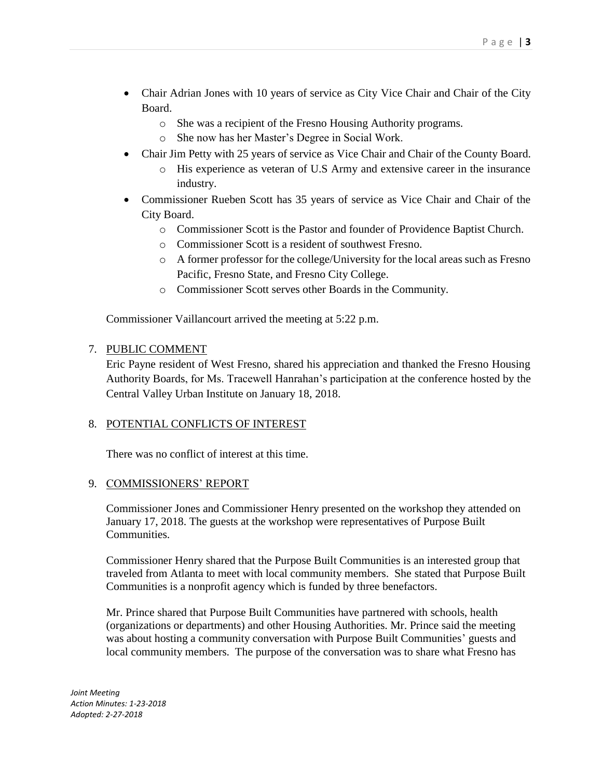- Chair Adrian Jones with 10 years of service as City Vice Chair and Chair of the City Board.
	- o She was a recipient of the Fresno Housing Authority programs.
	- o She now has her Master's Degree in Social Work.
- Chair Jim Petty with 25 years of service as Vice Chair and Chair of the County Board.
	- o His experience as veteran of U.S Army and extensive career in the insurance industry.
- Commissioner Rueben Scott has 35 years of service as Vice Chair and Chair of the City Board.
	- o Commissioner Scott is the Pastor and founder of Providence Baptist Church.
	- o Commissioner Scott is a resident of southwest Fresno.
	- o A former professor for the college/University for the local areas such as Fresno Pacific, Fresno State, and Fresno City College.
	- o Commissioner Scott serves other Boards in the Community.

Commissioner Vaillancourt arrived the meeting at 5:22 p.m.

# 7. PUBLIC COMMENT

Eric Payne resident of West Fresno, shared his appreciation and thanked the Fresno Housing Authority Boards, for Ms. Tracewell Hanrahan's participation at the conference hosted by the Central Valley Urban Institute on January 18, 2018.

# 8. POTENTIAL CONFLICTS OF INTEREST

There was no conflict of interest at this time.

# 9. COMMISSIONERS' REPORT

Commissioner Jones and Commissioner Henry presented on the workshop they attended on January 17, 2018. The guests at the workshop were representatives of Purpose Built Communities.

Commissioner Henry shared that the Purpose Built Communities is an interested group that traveled from Atlanta to meet with local community members. She stated that Purpose Built Communities is a nonprofit agency which is funded by three benefactors.

Mr. Prince shared that Purpose Built Communities have partnered with schools, health (organizations or departments) and other Housing Authorities. Mr. Prince said the meeting was about hosting a community conversation with Purpose Built Communities' guests and local community members. The purpose of the conversation was to share what Fresno has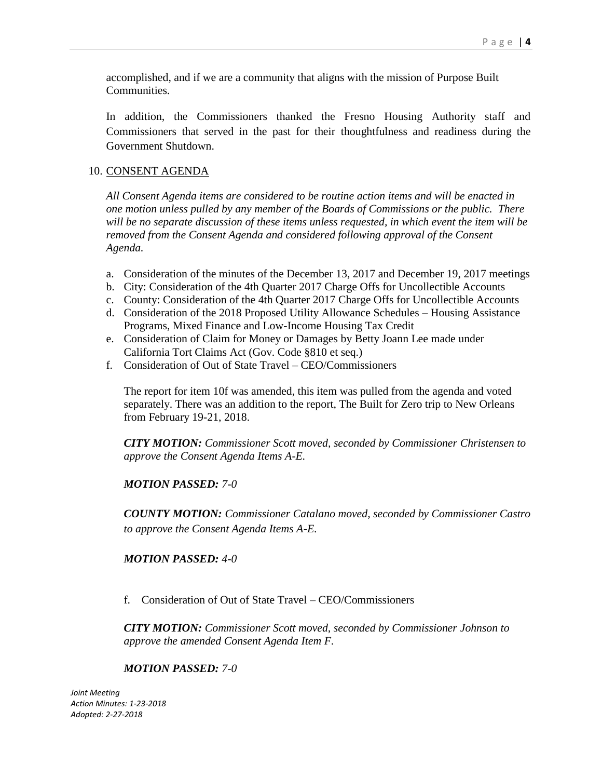accomplished, and if we are a community that aligns with the mission of Purpose Built Communities.

In addition, the Commissioners thanked the Fresno Housing Authority staff and Commissioners that served in the past for their thoughtfulness and readiness during the Government Shutdown.

# 10. CONSENT AGENDA

*All Consent Agenda items are considered to be routine action items and will be enacted in one motion unless pulled by any member of the Boards of Commissions or the public. There will be no separate discussion of these items unless requested, in which event the item will be removed from the Consent Agenda and considered following approval of the Consent Agenda.*

- a. Consideration of the minutes of the December 13, 2017 and December 19, 2017 meetings
- b. City: Consideration of the 4th Quarter 2017 Charge Offs for Uncollectible Accounts
- c. County: Consideration of the 4th Quarter 2017 Charge Offs for Uncollectible Accounts
- d. Consideration of the 2018 Proposed Utility Allowance Schedules Housing Assistance Programs, Mixed Finance and Low-Income Housing Tax Credit
- e. Consideration of Claim for Money or Damages by Betty Joann Lee made under California Tort Claims Act (Gov. Code §810 et seq.)
- f. Consideration of Out of State Travel CEO/Commissioners

The report for item 10f was amended, this item was pulled from the agenda and voted separately. There was an addition to the report, The Built for Zero trip to New Orleans from February 19-21, 2018.

*CITY MOTION: Commissioner Scott moved, seconded by Commissioner Christensen to approve the Consent Agenda Items A-E.*

*MOTION PASSED: 7-0*

*COUNTY MOTION: Commissioner Catalano moved, seconded by Commissioner Castro to approve the Consent Agenda Items A-E.*

#### *MOTION PASSED: 4-0*

f. Consideration of Out of State Travel – CEO/Commissioners

*CITY MOTION: Commissioner Scott moved, seconded by Commissioner Johnson to approve the amended Consent Agenda Item F.*

#### *MOTION PASSED: 7-0*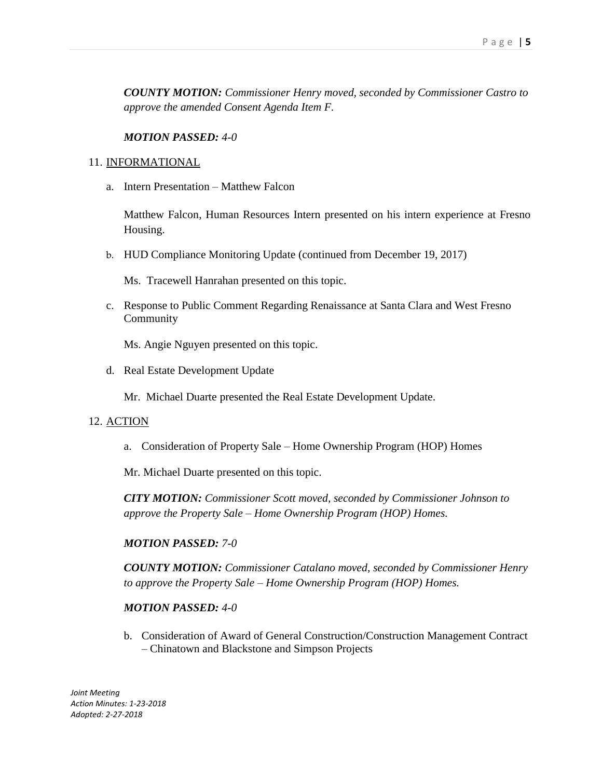*COUNTY MOTION: Commissioner Henry moved, seconded by Commissioner Castro to approve the amended Consent Agenda Item F.*

#### *MOTION PASSED: 4-0*

#### 11. INFORMATIONAL

a. Intern Presentation – Matthew Falcon

Matthew Falcon, Human Resources Intern presented on his intern experience at Fresno Housing.

b. HUD Compliance Monitoring Update (continued from December 19, 2017)

Ms. Tracewell Hanrahan presented on this topic.

c. Response to Public Comment Regarding Renaissance at Santa Clara and West Fresno Community

Ms. Angie Nguyen presented on this topic.

d. Real Estate Development Update

Mr. Michael Duarte presented the Real Estate Development Update.

#### 12. ACTION

a. Consideration of Property Sale – Home Ownership Program (HOP) Homes

Mr. Michael Duarte presented on this topic.

*CITY MOTION: Commissioner Scott moved, seconded by Commissioner Johnson to approve the Property Sale – Home Ownership Program (HOP) Homes.*

#### *MOTION PASSED: 7-0*

*COUNTY MOTION: Commissioner Catalano moved, seconded by Commissioner Henry to approve the Property Sale – Home Ownership Program (HOP) Homes.*

#### *MOTION PASSED: 4-0*

b. Consideration of Award of General Construction/Construction Management Contract – Chinatown and Blackstone and Simpson Projects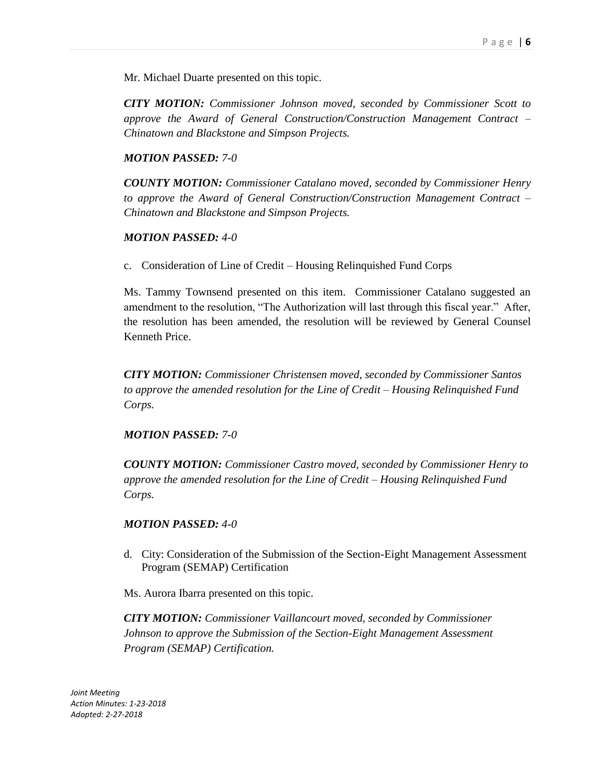Mr. Michael Duarte presented on this topic.

*CITY MOTION: Commissioner Johnson moved, seconded by Commissioner Scott to approve the Award of General Construction/Construction Management Contract – Chinatown and Blackstone and Simpson Projects.* 

#### *MOTION PASSED: 7-0*

*COUNTY MOTION: Commissioner Catalano moved, seconded by Commissioner Henry to approve the Award of General Construction/Construction Management Contract – Chinatown and Blackstone and Simpson Projects.* 

#### *MOTION PASSED: 4-0*

c. Consideration of Line of Credit – Housing Relinquished Fund Corps

Ms. Tammy Townsend presented on this item. Commissioner Catalano suggested an amendment to the resolution, "The Authorization will last through this fiscal year." After, the resolution has been amended, the resolution will be reviewed by General Counsel Kenneth Price.

*CITY MOTION: Commissioner Christensen moved, seconded by Commissioner Santos to approve the amended resolution for the Line of Credit – Housing Relinquished Fund Corps.*

#### *MOTION PASSED: 7-0*

*COUNTY MOTION: Commissioner Castro moved, seconded by Commissioner Henry to approve the amended resolution for the Line of Credit – Housing Relinquished Fund Corps.*

#### *MOTION PASSED: 4-0*

d. City: Consideration of the Submission of the Section-Eight Management Assessment Program (SEMAP) Certification

Ms. Aurora Ibarra presented on this topic.

*CITY MOTION: Commissioner Vaillancourt moved, seconded by Commissioner Johnson to approve the Submission of the Section-Eight Management Assessment Program (SEMAP) Certification.*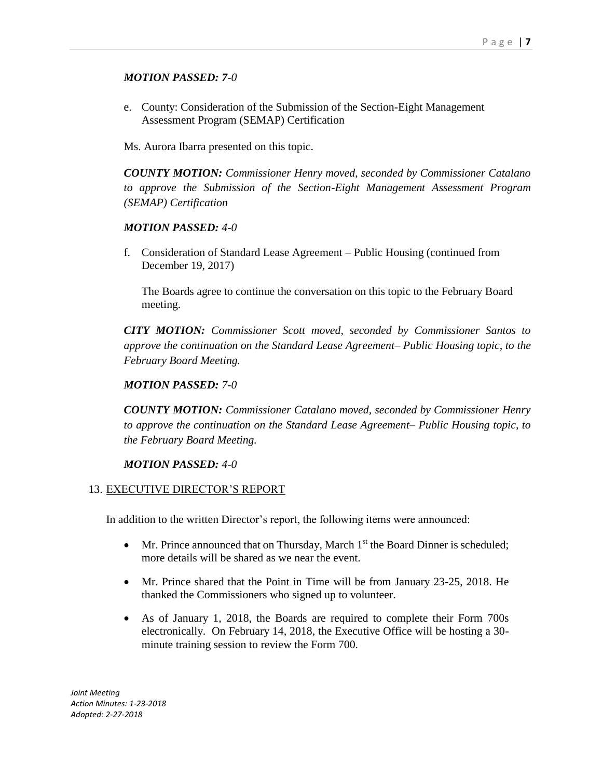# *MOTION PASSED: 7-0*

e. County: Consideration of the Submission of the Section-Eight Management Assessment Program (SEMAP) Certification

Ms. Aurora Ibarra presented on this topic.

*COUNTY MOTION: Commissioner Henry moved, seconded by Commissioner Catalano to approve the Submission of the Section-Eight Management Assessment Program (SEMAP) Certification*

# *MOTION PASSED: 4-0*

f. Consideration of Standard Lease Agreement – Public Housing (continued from December 19, 2017)

The Boards agree to continue the conversation on this topic to the February Board meeting.

*CITY MOTION: Commissioner Scott moved, seconded by Commissioner Santos to approve the continuation on the Standard Lease Agreement– Public Housing topic, to the February Board Meeting.*

# *MOTION PASSED: 7-0*

*COUNTY MOTION: Commissioner Catalano moved, seconded by Commissioner Henry to approve the continuation on the Standard Lease Agreement– Public Housing topic, to the February Board Meeting.*

#### *MOTION PASSED: 4-0*

#### 13. EXECUTIVE DIRECTOR'S REPORT

In addition to the written Director's report, the following items were announced:

- $\bullet$  Mr. Prince announced that on Thursday, March 1<sup>st</sup> the Board Dinner is scheduled; more details will be shared as we near the event.
- Mr. Prince shared that the Point in Time will be from January 23-25, 2018. He thanked the Commissioners who signed up to volunteer.
- As of January 1, 2018, the Boards are required to complete their Form 700s electronically. On February 14, 2018, the Executive Office will be hosting a 30 minute training session to review the Form 700.